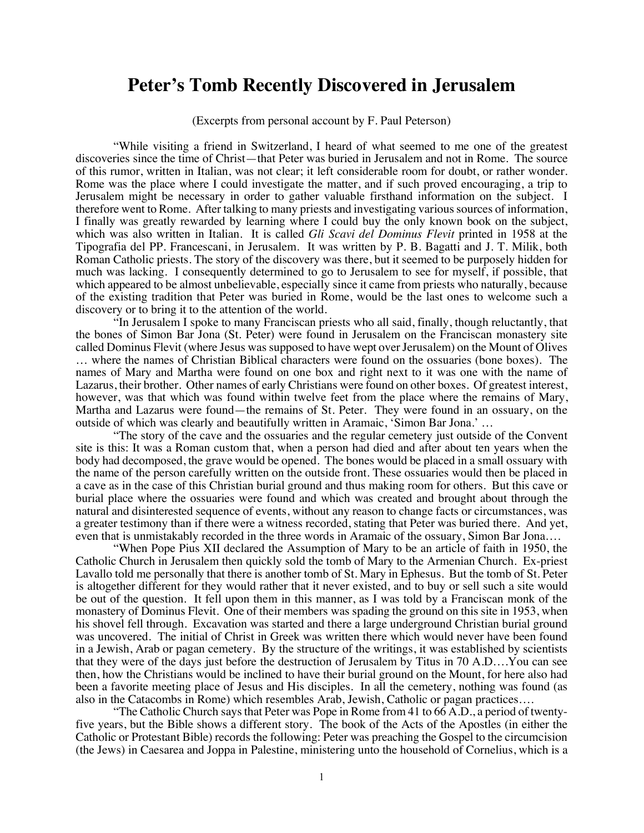## **Peter's Tomb Recently Discovered in Jerusalem**

(Excerpts from personal account by F. Paul Peterson)

"While visiting a friend in Switzerland, I heard of what seemed to me one of the greatest discoveries since the time of Christ—that Peter was buried in Jerusalem and not in Rome. The source of this rumor, written in Italian, was not clear; it left considerable room for doubt, or rather wonder. Rome was the place where I could investigate the matter, and if such proved encouraging, a trip to Jerusalem might be necessary in order to gather valuable firsthand information on the subject. I therefore went to Rome. After talking to many priests and investigating various sources of information, I finally was greatly rewarded by learning where I could buy the only known book on the subject, which was also written in Italian. It is called *Gli Scavi del Dominus Flevit* printed in 1958 at the Tipografia del PP. Francescani, in Jerusalem. It was written by P. B. Bagatti and J. T. Milik, both Roman Catholic priests. The story of the discovery was there, but it seemed to be purposely hidden for much was lacking. I consequently determined to go to Jerusalem to see for myself, if possible, that which appeared to be almost unbelievable, especially since it came from priests who naturally, because of the existing tradition that Peter was buried in Rome, would be the last ones to welcome such a discovery or to bring it to the attention of the world.

"In Jerusalem I spoke to many Franciscan priests who all said, finally, though reluctantly, that the bones of Simon Bar Jona (St. Peter) were found in Jerusalem on the Franciscan monastery site called Dominus Flevit (where Jesus was supposed to have wept over Jerusalem) on the Mount of Olives … where the names of Christian Biblical characters were found on the ossuaries (bone boxes). The names of Mary and Martha were found on one box and right next to it was one with the name of Lazarus, their brother. Other names of early Christians were found on other boxes. Of greatest interest, however, was that which was found within twelve feet from the place where the remains of Mary, Martha and Lazarus were found—the remains of St. Peter. They were found in an ossuary, on the outside of which was clearly and beautifully written in Aramaic, 'Simon Bar Jona.' …

"The story of the cave and the ossuaries and the regular cemetery just outside of the Convent site is this: It was a Roman custom that, when a person had died and after about ten years when the body had decomposed, the grave would be opened. The bones would be placed in a small ossuary with the name of the person carefully written on the outside front. These ossuaries would then be placed in a cave as in the case of this Christian burial ground and thus making room for others. But this cave or burial place where the ossuaries were found and which was created and brought about through the natural and disinterested sequence of events, without any reason to change facts or circumstances, was a greater testimony than if there were a witness recorded, stating that Peter was buried there. And yet, even that is unmistakably recorded in the three words in Aramaic of the ossuary, Simon Bar Jona….

"When Pope Pius XII declared the Assumption of Mary to be an article of faith in 1950, the Catholic Church in Jerusalem then quickly sold the tomb of Mary to the Armenian Church. Ex-priest Lavallo told me personally that there is another tomb of St. Mary in Ephesus. But the tomb of St. Peter is altogether different for they would rather that it never existed, and to buy or sell such a site would be out of the question. It fell upon them in this manner, as I was told by a Franciscan monk of the monastery of Dominus Flevit. One of their members was spading the ground on this site in 1953, when his shovel fell through. Excavation was started and there a large underground Christian burial ground was uncovered. The initial of Christ in Greek was written there which would never have been found in a Jewish, Arab or pagan cemetery. By the structure of the writings, it was established by scientists that they were of the days just before the destruction of Jerusalem by Titus in 70 A.D….You can see then, how the Christians would be inclined to have their burial ground on the Mount, for here also had been a favorite meeting place of Jesus and His disciples. In all the cemetery, nothing was found (as also in the Catacombs in Rome) which resembles Arab, Jewish, Catholic or pagan practices….

"The Catholic Church says that Peter was Pope in Rome from 41 to  $66$  A.D., a period of twentyfive years, but the Bible shows a different story. The book of the Acts of the Apostles (in either the Catholic or Protestant Bible) records the following: Peter was preaching the Gospel to the circumcision (the Jews) in Caesarea and Joppa in Palestine, ministering unto the household of Cornelius, which is a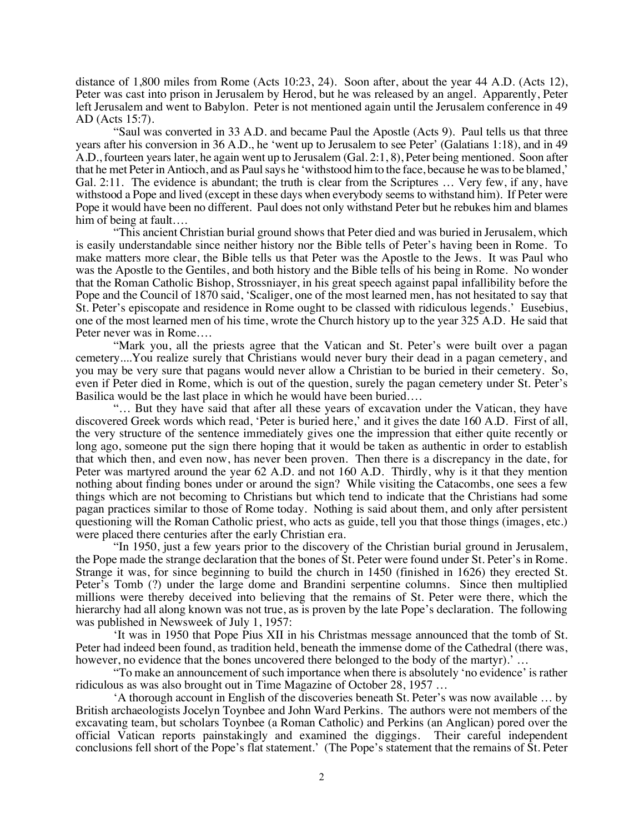distance of 1,800 miles from Rome (Acts 10:23, 24). Soon after, about the year 44 A.D. (Acts 12), Peter was cast into prison in Jerusalem by Herod, but he was released by an angel. Apparently, Peter left Jerusalem and went to Babylon. Peter is not mentioned again until the Jerusalem conference in 49 AD (Acts 15:7).

"Saul was converted in 33 A.D. and became Paul the Apostle (Acts 9). Paul tells us that three years after his conversion in 36 A.D., he 'went up to Jerusalem to see Peter' (Galatians 1:18), and in 49 A.D., fourteen years later, he again went up to Jerusalem (Gal. 2:1, 8), Peter being mentioned. Soon after that he met Peter in Antioch, and as Paul says he 'withstood him to the face, because he was to be blamed,' Gal. 2:11. The evidence is abundant; the truth is clear from the Scriptures ... Very few, if any, have withstood a Pope and lived (except in these days when everybody seems to withstand him). If Peter were Pope it would have been no different. Paul does not only withstand Peter but he rebukes him and blames him of being at fault….

"This ancient Christian burial ground shows that Peter died and was buried in Jerusalem, which is easily understandable since neither history nor the Bible tells of Peter's having been in Rome. To make matters more clear, the Bible tells us that Peter was the Apostle to the Jews. It was Paul who was the Apostle to the Gentiles, and both history and the Bible tells of his being in Rome. No wonder that the Roman Catholic Bishop, Strossniayer, in his great speech against papal infallibility before the Pope and the Council of 1870 said, 'Scaliger, one of the most learned men, has not hesitated to say that St. Peter's episcopate and residence in Rome ought to be classed with ridiculous legends.' Eusebius, one of the most learned men of his time, wrote the Church history up to the year 325 A.D. He said that Peter never was in Rome….

"Mark you, all the priests agree that the Vatican and St. Peter's were built over a pagan cemetery....You realize surely that Christians would never bury their dead in a pagan cemetery, and you may be very sure that pagans would never allow a Christian to be buried in their cemetery. So, even if Peter died in Rome, which is out of the question, surely the pagan cemetery under St. Peter's Basilica would be the last place in which he would have been buried….

"… But they have said that after all these years of excavation under the Vatican, they have discovered Greek words which read, 'Peter is buried here,' and it gives the date 160 A.D. First of all, the very structure of the sentence immediately gives one the impression that either quite recently or long ago, someone put the sign there hoping that it would be taken as authentic in order to establish that which then, and even now, has never been proven. Then there is a discrepancy in the date, for Peter was martyred around the year 62 A.D. and not 160 A.D. Thirdly, why is it that they mention nothing about finding bones under or around the sign? While visiting the Catacombs, one sees a few things which are not becoming to Christians but which tend to indicate that the Christians had some pagan practices similar to those of Rome today. Nothing is said about them, and only after persistent questioning will the Roman Catholic priest, who acts as guide, tell you that those things (images, etc.) were placed there centuries after the early Christian era.

"In 1950, just a few years prior to the discovery of the Christian burial ground in Jerusalem, the Pope made the strange declaration that the bones of St. Peter were found under St. Peter's in Rome. Strange it was, for since beginning to build the church in 1450 (finished in 1626) they erected St. Peter's Tomb (?) under the large dome and Brandini serpentine columns. Since then multiplied millions were thereby deceived into believing that the remains of St. Peter were there, which the hierarchy had all along known was not true, as is proven by the late Pope's declaration. The following was published in Newsweek of July 1, 1957:

'It was in 1950 that Pope Pius XII in his Christmas message announced that the tomb of St. Peter had indeed been found, as tradition held, beneath the immense dome of the Cathedral (there was, however, no evidence that the bones uncovered there belonged to the body of the martyr).' ...

"To make an announcement of such importance when there is absolutely 'no evidence' is rather ridiculous as was also brought out in Time Magazine of October 28, 1957 …

'A thorough account in English of the discoveries beneath St. Peter's was now available … by British archaeologists Jocelyn Toynbee and John Ward Perkins. The authors were not members of the excavating team, but scholars Toynbee (a Roman Catholic) and Perkins (an Anglican) pored over the official Vatican reports painstakingly and examined the diggings. Their careful independent conclusions fell short of the Pope's flat statement.' (The Pope's statement that the remains of St. Peter